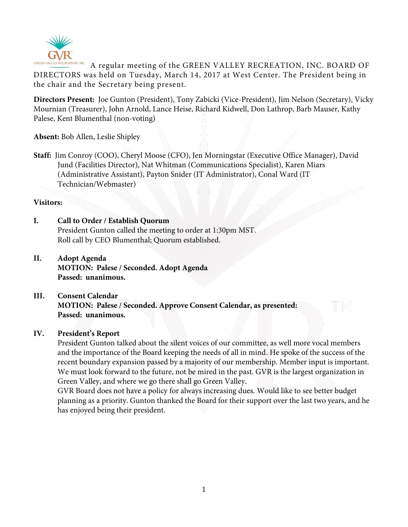

GREEN VALLEY RECREATION, INC. A regular meeting of the GREEN VALLEY RECREATION, INC. BOARD OF DIRECTORS was held on Tuesday, March 14, 2017 at West Center. The President being in the chair and the Secretary being present.

**Directors Present:** Joe Gunton (President), Tony Zabicki (Vice-President), Jim Nelson (Secretary), Vicky Mournian (Treasurer), John Arnold, Lance Heise, Richard Kidwell, Don Lathrop, Barb Mauser, Kathy Palese, Kent Blumenthal (non-voting)

**Absent:** Bob Allen, Leslie Shipley

**Staff:** Jim Conroy (COO), Cheryl Moose (CFO), Jen Morningstar (Executive Office Manager), David Jund (Facilities Director), Nat Whitman (Communications Specialist), Karen Miars (Administrative Assistant), Payton Snider (IT Administrator), Conal Ward (IT Technician/Webmaster)

### **Visitors:**

# **I. Call to Order / Establish Quorum**

President Gunton called the meeting to order at 1:30pm MST. Roll call by CEO Blumenthal; Quorum established.

**II. Adopt Agenda MOTION: Palese / Seconded. Adopt Agenda Passed: unanimous.**

# **III. Consent Calendar MOTION: Palese / Seconded. Approve Consent Calendar, as presented: Passed: unanimous.**

## **IV. President's Report**

President Gunton talked about the silent voices of our committee, as well more vocal members and the importance of the Board keeping the needs of all in mind. He spoke of the success of the recent boundary expansion passed by a majority of our membership. Member input is important. We must look forward to the future, not be mired in the past. GVR is the largest organization in Green Valley, and where we go there shall go Green Valley.

GVR Board does not have a policy for always increasing dues. Would like to see better budget planning as a priority. Gunton thanked the Board for their support over the last two years, and he has enjoyed being their president.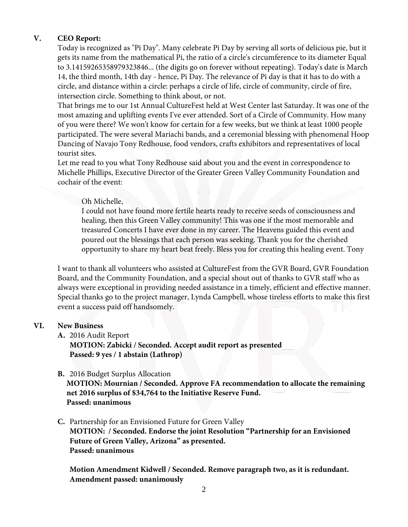## **V. CEO Report:**

Today is recognized as "Pi Day". Many celebrate Pi Day by serving all sorts of delicious pie, but it gets its name from the mathematical Pi, the ratio of a circle's circumference to its diameter Equal to 3.14159265358979323846... (the digits go on forever without repeating). Today's date is March 14, the third month, 14th day - hence, Pi Day. The relevance of Pi day is that it has to do with a circle, and distance within a circle: perhaps a circle of life, circle of community, circle of fire, intersection circle. Something to think about, or not.

That brings me to our 1st Annual CultureFest held at West Center last Saturday. It was one of the most amazing and uplifting events I've ever attended. Sort of a Circle of Community. How many of you were there? We won't know for certain for a few weeks, but we think at least 1000 people participated. The were several Mariachi bands, and a ceremonial blessing with phenomenal Hoop Dancing of Navajo Tony Redhouse, food vendors, crafts exhibitors and representatives of local tourist sites.

Let me read to you what Tony Redhouse said about you and the event in correspondence to Michelle Phillips, Executive Director of the Greater Green Valley Community Foundation and cochair of the event:

### Oh Michelle,

I could not have found more fertile hearts ready to receive seeds of consciousness and healing, then this Green Valley community! This was one if the most memorable and treasured Concerts I have ever done in my career. The Heavens guided this event and poured out the blessings that each person was seeking. Thank you for the cherished opportunity to share my heart beat freely. Bless you for creating this healing event. Tony

I want to thank all volunteers who assisted at CultureFest from the GVR Board, GVR Foundation Board, and the Community Foundation, and a special shout out of thanks to GVR staff who as always were exceptional in providing needed assistance in a timely, efficient and effective manner. Special thanks go to the project manager, Lynda Campbell, whose tireless efforts to make this first event a success paid off handsomely.

#### **VI. New Business**

**A.** 2016 Audit Report

**MOTION: Zabicki / Seconded. Accept audit report as presented Passed: 9 yes / 1 abstain (Lathrop)**

## **B.** 2016 Budget Surplus Allocation

**MOTION: Mournian / Seconded. Approve FA recommendation to allocate the remaining net 2016 surplus of \$34,764 to the Initiative Reserve Fund. Passed: unanimous**

# **C.** Partnership for an Envisioned Future for Green Valley **MOTION: / Seconded. Endorse the joint Resolution "Partnership for an Envisioned Future of Green Valley, Arizona" as presented. Passed: unanimous**

**Motion Amendment Kidwell / Seconded. Remove paragraph two, as it is redundant. Amendment passed: unanimously**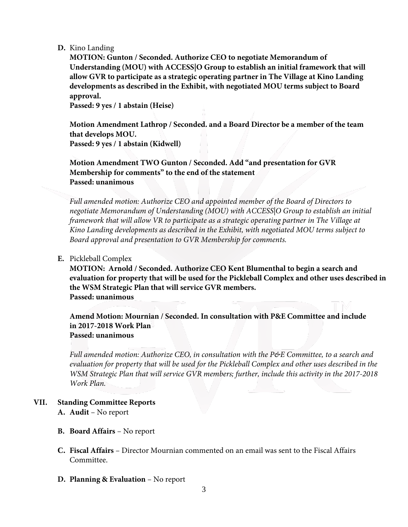#### **D.** Kino Landing

**MOTION: Gunton / Seconded. Authorize CEO to negotiate Memorandum of Understanding (MOU) with ACCESS|O Group to establish an initial framework that will allow GVR to participate as a strategic operating partner in The Village at Kino Landing developments as described in the Exhibit, with negotiated MOU terms subject to Board approval.**

**Passed: 9 yes / 1 abstain (Heise)**

**Motion Amendment Lathrop / Seconded. and a Board Director be a member of the team that develops MOU. Passed: 9 yes / 1 abstain (Kidwell)**

**Motion Amendment TWO Gunton / Seconded. Add "and presentation for GVR Membership for comments" to the end of the statement Passed: unanimous**

*Full amended motion: Authorize CEO and appointed member of the Board of Directors to negotiate Memorandum of Understanding (MOU) with ACCESS|O Group to establish an initial framework that will allow VR to participate as a strategic operating partner in The Village at Kino Landing developments as described in the Exhibit, with negotiated MOU terms subject to Board approval and presentation to GVR Membership for comments.*

### **E.** Pickleball Complex

**MOTION: Arnold / Seconded. Authorize CEO Kent Blumenthal to begin a search and evaluation for property that will be used for the Pickleball Complex and other uses described in the WSM Strategic Plan that will service GVR members. Passed: unanimous**

**Amend Motion: Mournian / Seconded. In consultation with P&E Committee and include in 2017-2018 Work Plan Passed: unanimous**

*Full amended motion: Authorize CEO, in consultation with the P&E Committee, to a search and evaluation for property that will be used for the Pickleball Complex and other uses described in the WSM Strategic Plan that will service GVR members; further, include this activity in the 2017-2018 Work Plan.*

#### **VII. Standing Committee Reports A. Audit** – No report

- **B. Board Affairs** No report
- **C. Fiscal Affairs**  Director Mournian commented on an email was sent to the Fiscal Affairs Committee.
- **D. Planning & Evaluation** No report